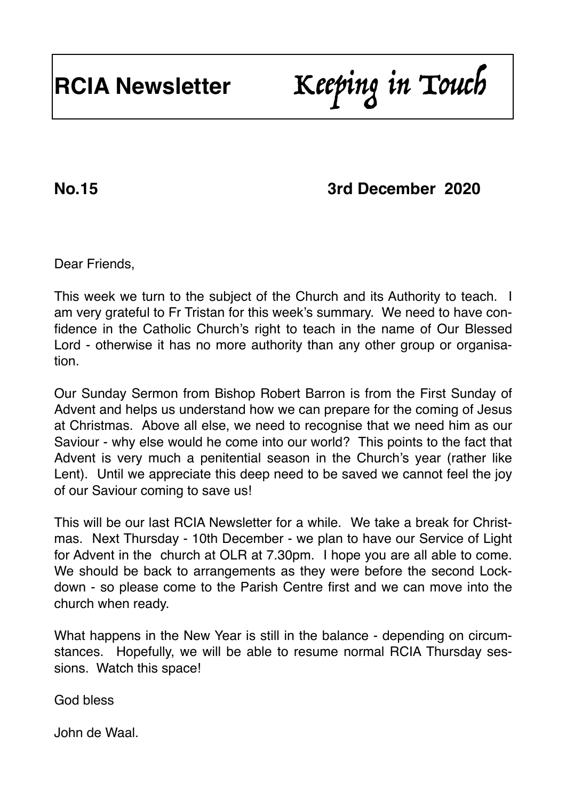# **No.15 3rd December 2020**

Dear Friends,

This week we turn to the subject of the Church and its Authority to teach. I am very grateful to Fr Tristan for this week's summary. We need to have confidence in the Catholic Church's right to teach in the name of Our Blessed Lord - otherwise it has no more authority than any other group or organisation.

Our Sunday Sermon from Bishop Robert Barron is from the First Sunday of Advent and helps us understand how we can prepare for the coming of Jesus at Christmas. Above all else, we need to recognise that we need him as our Saviour - why else would he come into our world? This points to the fact that Advent is very much a penitential season in the Church's year (rather like Lent). Until we appreciate this deep need to be saved we cannot feel the joy of our Saviour coming to save us!

This will be our last RCIA Newsletter for a while. We take a break for Christmas. Next Thursday - 10th December - we plan to have our Service of Light for Advent in the church at OLR at 7.30pm. I hope you are all able to come. We should be back to arrangements as they were before the second Lockdown - so please come to the Parish Centre first and we can move into the church when ready.

What happens in the New Year is still in the balance - depending on circumstances. Hopefully, we will be able to resume normal RCIA Thursday sessions. Watch this space!

God bless

John de Waal.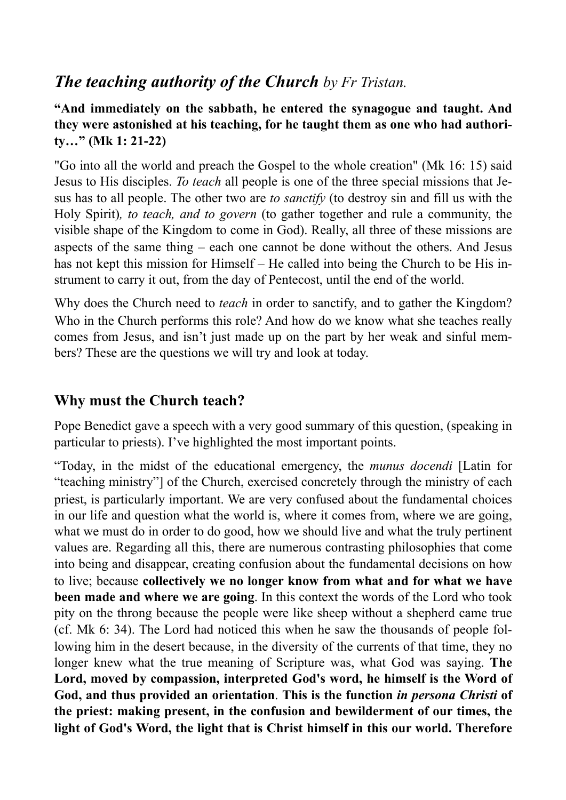## *The teaching authority of the Church by Fr Tristan.*

#### **"And immediately on the sabbath, he entered the synagogue and taught. And they were astonished at his teaching, for he taught them as one who had authority…" (Mk 1: 21-22)**

"Go into all the world and preach the Gospel to the whole creation" (Mk 16: 15) said Jesus to His disciples. *To teach* all people is one of the three special missions that Jesus has to all people. The other two are *to sanctify* (to destroy sin and fill us with the Holy Spirit)*, to teach, and to govern* (to gather together and rule a community, the visible shape of the Kingdom to come in God). Really, all three of these missions are aspects of the same thing – each one cannot be done without the others. And Jesus has not kept this mission for Himself – He called into being the Church to be His instrument to carry it out, from the day of Pentecost, until the end of the world.

Why does the Church need to *teach* in order to sanctify, and to gather the Kingdom? Who in the Church performs this role? And how do we know what she teaches really comes from Jesus, and isn't just made up on the part by her weak and sinful members? These are the questions we will try and look at today.

### **Why must the Church teach?**

Pope Benedict gave a speech with a very good summary of this question, (speaking in particular to priests). I've highlighted the most important points.

"Today, in the midst of the educational emergency, the *munus docendi* [Latin for "teaching ministry"] of the Church, exercised concretely through the ministry of each priest, is particularly important. We are very confused about the fundamental choices in our life and question what the world is, where it comes from, where we are going, what we must do in order to do good, how we should live and what the truly pertinent values are. Regarding all this, there are numerous contrasting philosophies that come into being and disappear, creating confusion about the fundamental decisions on how to live; because **collectively we no longer know from what and for what we have been made and where we are going**. In this context the words of the Lord who took pity on the throng because the people were like sheep without a shepherd came true (cf. Mk 6: 34). The Lord had noticed this when he saw the thousands of people following him in the desert because, in the diversity of the currents of that time, they no longer knew what the true meaning of Scripture was, what God was saying. **The Lord, moved by compassion, interpreted God's word, he himself is the Word of God, and thus provided an orientation**. **This is the function** *in persona Christi* **of the priest: making present, in the confusion and bewilderment of our times, the light of God's Word, the light that is Christ himself in this our world. Therefore**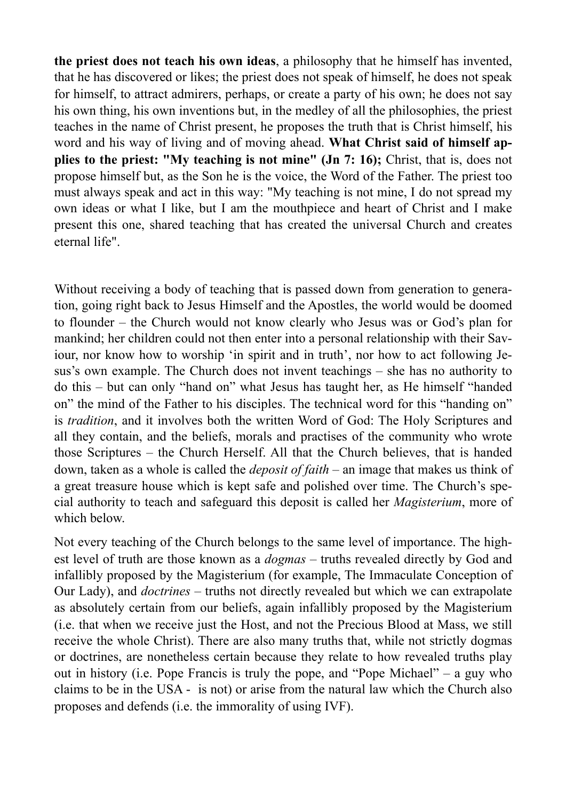**the priest does not teach his own ideas**, a philosophy that he himself has invented, that he has discovered or likes; the priest does not speak of himself, he does not speak for himself, to attract admirers, perhaps, or create a party of his own; he does not say his own thing, his own inventions but, in the medley of all the philosophies, the priest teaches in the name of Christ present, he proposes the truth that is Christ himself, his word and his way of living and of moving ahead. **What Christ said of himself applies to the priest: "My teaching is not mine" (Jn 7: 16);** Christ, that is, does not propose himself but, as the Son he is the voice, the Word of the Father. The priest too must always speak and act in this way: "My teaching is not mine, I do not spread my own ideas or what I like, but I am the mouthpiece and heart of Christ and I make present this one, shared teaching that has created the universal Church and creates eternal life".

Without receiving a body of teaching that is passed down from generation to generation, going right back to Jesus Himself and the Apostles, the world would be doomed to flounder – the Church would not know clearly who Jesus was or God's plan for mankind; her children could not then enter into a personal relationship with their Saviour, nor know how to worship 'in spirit and in truth', nor how to act following Jesus's own example. The Church does not invent teachings – she has no authority to do this – but can only "hand on" what Jesus has taught her, as He himself "handed on" the mind of the Father to his disciples. The technical word for this "handing on" is *tradition*, and it involves both the written Word of God: The Holy Scriptures and all they contain, and the beliefs, morals and practises of the community who wrote those Scriptures – the Church Herself. All that the Church believes, that is handed down, taken as a whole is called the *deposit of faith* – an image that makes us think of a great treasure house which is kept safe and polished over time. The Church's special authority to teach and safeguard this deposit is called her *Magisterium*, more of which below.

Not every teaching of the Church belongs to the same level of importance. The highest level of truth are those known as a *dogmas* – truths revealed directly by God and infallibly proposed by the Magisterium (for example, The Immaculate Conception of Our Lady), and *doctrines* – truths not directly revealed but which we can extrapolate as absolutely certain from our beliefs, again infallibly proposed by the Magisterium (i.e. that when we receive just the Host, and not the Precious Blood at Mass, we still receive the whole Christ). There are also many truths that, while not strictly dogmas or doctrines, are nonetheless certain because they relate to how revealed truths play out in history (i.e. Pope Francis is truly the pope, and "Pope Michael" – a guy who claims to be in the USA - is not) or arise from the natural law which the Church also proposes and defends (i.e. the immorality of using IVF).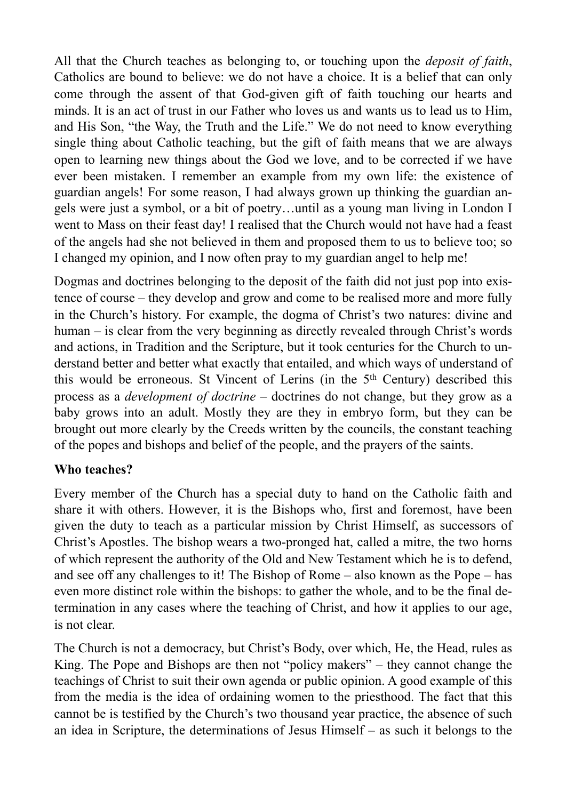All that the Church teaches as belonging to, or touching upon the *deposit of faith*, Catholics are bound to believe: we do not have a choice. It is a belief that can only come through the assent of that God-given gift of faith touching our hearts and minds. It is an act of trust in our Father who loves us and wants us to lead us to Him, and His Son, "the Way, the Truth and the Life." We do not need to know everything single thing about Catholic teaching, but the gift of faith means that we are always open to learning new things about the God we love, and to be corrected if we have ever been mistaken. I remember an example from my own life: the existence of guardian angels! For some reason, I had always grown up thinking the guardian angels were just a symbol, or a bit of poetry…until as a young man living in London I went to Mass on their feast day! I realised that the Church would not have had a feast of the angels had she not believed in them and proposed them to us to believe too; so I changed my opinion, and I now often pray to my guardian angel to help me!

Dogmas and doctrines belonging to the deposit of the faith did not just pop into existence of course – they develop and grow and come to be realised more and more fully in the Church's history. For example, the dogma of Christ's two natures: divine and human – is clear from the very beginning as directly revealed through Christ's words and actions, in Tradition and the Scripture, but it took centuries for the Church to understand better and better what exactly that entailed, and which ways of understand of this would be erroneous. St Vincent of Lerins (in the 5th Century) described this process as a *development of doctrine* – doctrines do not change, but they grow as a baby grows into an adult. Mostly they are they in embryo form, but they can be brought out more clearly by the Creeds written by the councils, the constant teaching of the popes and bishops and belief of the people, and the prayers of the saints.

#### **Who teaches?**

Every member of the Church has a special duty to hand on the Catholic faith and share it with others. However, it is the Bishops who, first and foremost, have been given the duty to teach as a particular mission by Christ Himself, as successors of Christ's Apostles. The bishop wears a two-pronged hat, called a mitre, the two horns of which represent the authority of the Old and New Testament which he is to defend, and see off any challenges to it! The Bishop of Rome – also known as the Pope – has even more distinct role within the bishops: to gather the whole, and to be the final determination in any cases where the teaching of Christ, and how it applies to our age, is not clear.

The Church is not a democracy, but Christ's Body, over which, He, the Head, rules as King. The Pope and Bishops are then not "policy makers" – they cannot change the teachings of Christ to suit their own agenda or public opinion. A good example of this from the media is the idea of ordaining women to the priesthood. The fact that this cannot be is testified by the Church's two thousand year practice, the absence of such an idea in Scripture, the determinations of Jesus Himself – as such it belongs to the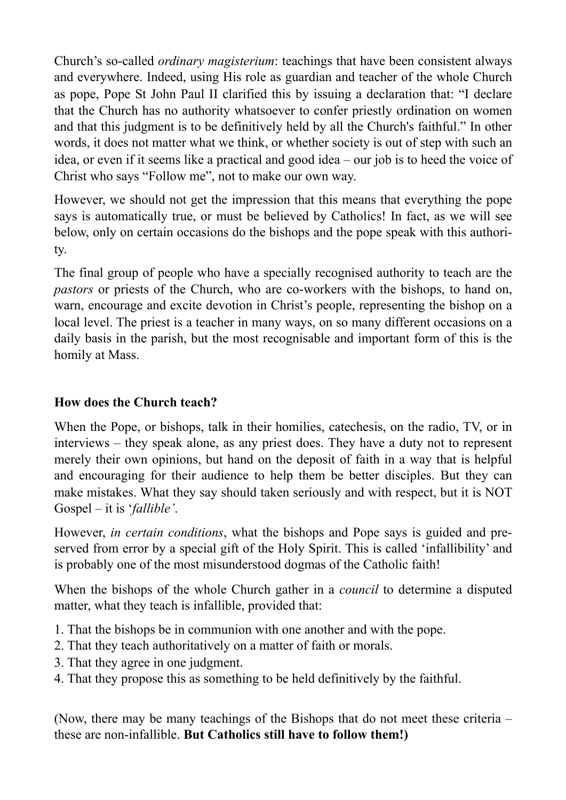Church's so-called *ordinary magisterium*: teachings that have been consistent always and everywhere. Indeed, using His role as guardian and teacher of the whole Church as pope, Pope St John Paul II clarified this by issuing a declaration that: "I declare that the Church has no authority whatsoever to confer priestly ordination on women and that this judgment is to be definitively held by all the Church's faithful." In other words, it does not matter what we think, or whether society is out of step with such an idea, or even if it seems like a practical and good idea – our job is to heed the voice of Christ who says "Follow me", not to make our own way.

However, we should not get the impression that this means that everything the pope says is automatically true, or must be believed by Catholics! In fact, as we will see below, only on certain occasions do the bishops and the pope speak with this authority.

The final group of people who have a specially recognised authority to teach are the *pastors* or priests of the Church, who are co-workers with the bishops, to hand on, warn, encourage and excite devotion in Christ's people, representing the bishop on a local level. The priest is a teacher in many ways, on so many different occasions on a daily basis in the parish, but the most recognisable and important form of this is the homily at Mass.

#### **How does the Church teach?**

When the Pope, or bishops, talk in their homilies, catechesis, on the radio, TV, or in interviews – they speak alone, as any priest does. They have a duty not to represent merely their own opinions, but hand on the deposit of faith in a way that is helpful and encouraging for their audience to help them be better disciples. But they can make mistakes. What they say should taken seriously and with respect, but it is NOT Gospel – it is '*fallible'*.

However, *in certain conditions*, what the bishops and Pope says is guided and preserved from error by a special gift of the Holy Spirit. This is called 'infallibility' and is probably one of the most misunderstood dogmas of the Catholic faith!

When the bishops of the whole Church gather in a *council* to determine a disputed matter, what they teach is infallible, provided that:

- 1. That the bishops be in communion with one another and with the pope.
- 2. That they teach authoritatively on a matter of faith or morals.
- 3. That they agree in one judgment.
- 4. That they propose this as something to be held definitively by the faithful.

(Now, there may be many teachings of the Bishops that do not meet these criteria – these are non-infallible. **But Catholics still have to follow them!)**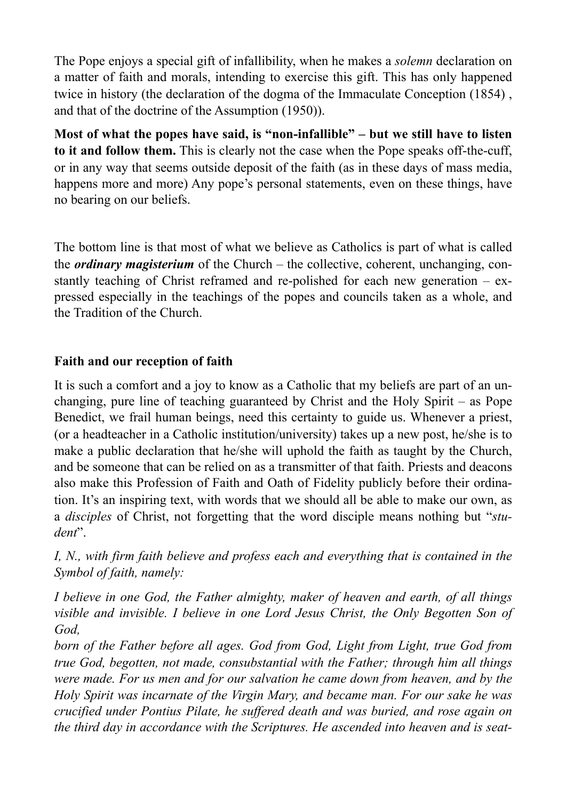The Pope enjoys a special gift of infallibility, when he makes a *solemn* declaration on a matter of faith and morals, intending to exercise this gift. This has only happened twice in history (the declaration of the dogma of the Immaculate Conception (1854) , and that of the doctrine of the Assumption (1950)).

**Most of what the popes have said, is "non-infallible" – but we still have to listen to it and follow them.** This is clearly not the case when the Pope speaks off-the-cuff, or in any way that seems outside deposit of the faith (as in these days of mass media, happens more and more) Any pope's personal statements, even on these things, have no bearing on our beliefs.

The bottom line is that most of what we believe as Catholics is part of what is called the *ordinary magisterium* of the Church – the collective, coherent, unchanging, constantly teaching of Christ reframed and re-polished for each new generation – expressed especially in the teachings of the popes and councils taken as a whole, and the Tradition of the Church.

#### **Faith and our reception of faith**

It is such a comfort and a joy to know as a Catholic that my beliefs are part of an unchanging, pure line of teaching guaranteed by Christ and the Holy Spirit – as Pope Benedict, we frail human beings, need this certainty to guide us. Whenever a priest, (or a headteacher in a Catholic institution/university) takes up a new post, he/she is to make a public declaration that he/she will uphold the faith as taught by the Church, and be someone that can be relied on as a transmitter of that faith. Priests and deacons also make this Profession of Faith and Oath of Fidelity publicly before their ordination. It's an inspiring text, with words that we should all be able to make our own, as a *disciples* of Christ, not forgetting that the word disciple means nothing but "*student*".

*I, N., with firm faith believe and profess each and everything that is contained in the Symbol of faith, namely:* 

*I believe in one God, the Father almighty, maker of heaven and earth, of all things visible and invisible. I believe in one Lord Jesus Christ, the Only Begotten Son of God,*

*born of the Father before all ages. God from God, Light from Light, true God from true God, begotten, not made, consubstantial with the Father; through him all things were made. For us men and for our salvation he came down from heaven, and by the Holy Spirit was incarnate of the Virgin Mary, and became man. For our sake he was crucified under Pontius Pilate, he suffered death and was buried, and rose again on the third day in accordance with the Scriptures. He ascended into heaven and is seat-*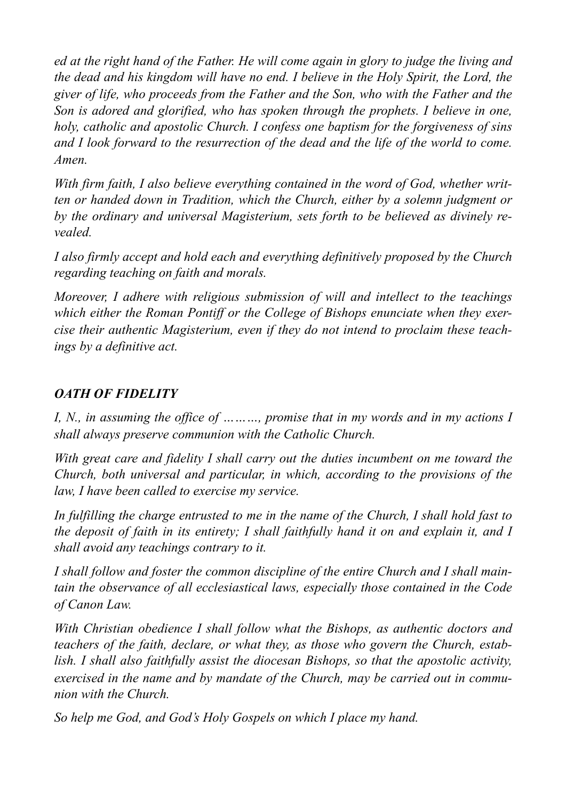*ed at the right hand of the Father. He will come again in glory to judge the living and the dead and his kingdom will have no end. I believe in the Holy Spirit, the Lord, the giver of life, who proceeds from the Father and the Son, who with the Father and the Son is adored and glorified, who has spoken through the prophets. I believe in one, holy, catholic and apostolic Church. I confess one baptism for the forgiveness of sins and I look forward to the resurrection of the dead and the life of the world to come. Amen.* 

*With firm faith, I also believe everything contained in the word of God, whether written or handed down in Tradition, which the Church, either by a solemn judgment or by the ordinary and universal Magisterium, sets forth to be believed as divinely revealed.* 

*I also firmly accept and hold each and everything definitively proposed by the Church regarding teaching on faith and morals.* 

*Moreover, I adhere with religious submission of will and intellect to the teachings which either the Roman Pontiff or the College of Bishops enunciate when they exercise their authentic Magisterium, even if they do not intend to proclaim these teachings by a definitive act.* 

#### *OATH OF FIDELITY*

*I, N<sub>ri</sub>* in assuming the office of ………, promise that in my words and in my actions I *shall always preserve communion with the Catholic Church.* 

*With great care and fidelity I shall carry out the duties incumbent on me toward the Church, both universal and particular, in which, according to the provisions of the law, I have been called to exercise my service.* 

*In fulfilling the charge entrusted to me in the name of the Church, I shall hold fast to the deposit of faith in its entirety; I shall faithfully hand it on and explain it, and I shall avoid any teachings contrary to it.* 

*I shall follow and foster the common discipline of the entire Church and I shall maintain the observance of all ecclesiastical laws, especially those contained in the Code of Canon Law.* 

*With Christian obedience I shall follow what the Bishops, as authentic doctors and teachers of the faith, declare, or what they, as those who govern the Church, establish. I shall also faithfully assist the diocesan Bishops, so that the apostolic activity, exercised in the name and by mandate of the Church, may be carried out in communion with the Church.* 

*So help me God, and God's Holy Gospels on which I place my hand.*